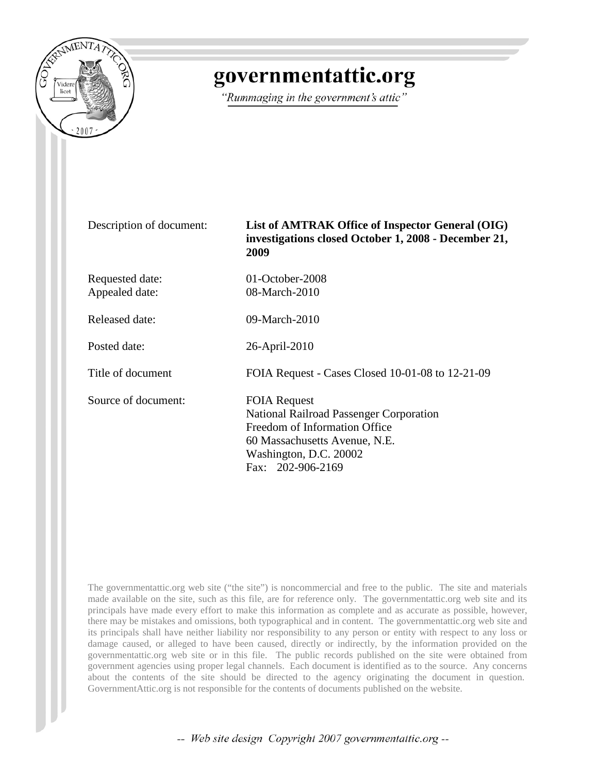

## governmentattic.org

"Rummaging in the government's attic"

Description of document: **List of AMTRAK Office of Inspector General (OIG) investigations closed October 1, 2008 - December 21, 2009**

Requested date: 01-October-2008 Appealed date: 08-March-2010

Released date: 09-March-2010

Posted date: 26-April-2010

Title of document FOIA Request - Cases Closed 10-01-08 to 12-21-09

Source of document: FOIA Request

National Railroad Passenger Corporation Freedom of Information Office 60 Massachusetts Avenue, N.E. Washington, D.C. 20002 Fax: 202-906-2169

The governmentattic.org web site ("the site") is noncommercial and free to the public. The site and materials made available on the site, such as this file, are for reference only. The governmentattic.org web site and its principals have made every effort to make this information as complete and as accurate as possible, however, there may be mistakes and omissions, both typographical and in content. The governmentattic.org web site and its principals shall have neither liability nor responsibility to any person or entity with respect to any loss or damage caused, or alleged to have been caused, directly or indirectly, by the information provided on the governmentattic.org web site or in this file. The public records published on the site were obtained from government agencies using proper legal channels. Each document is identified as to the source. Any concerns about the contents of the site should be directed to the agency originating the document in question. GovernmentAttic.org is not responsible for the contents of documents published on the website.

-- Web site design Copyright 2007 governmentattic.org --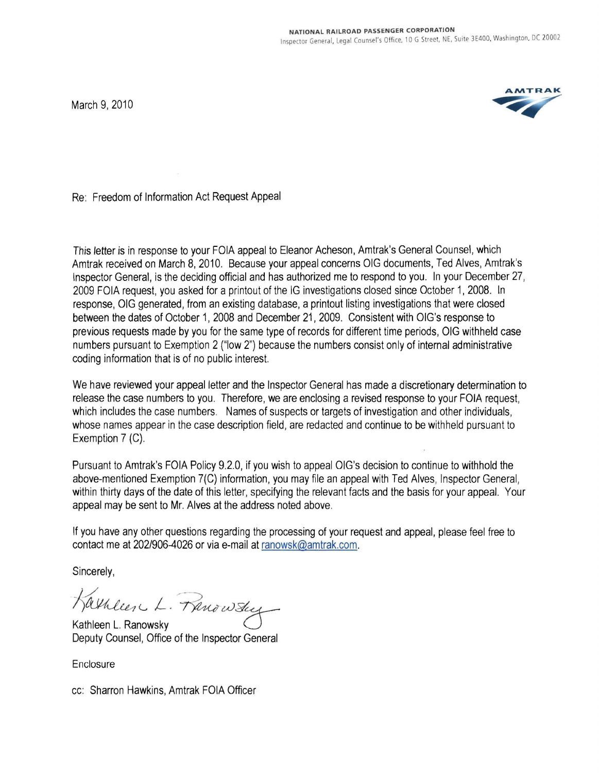March 9, 2010



Re: Freedom of Information Act Request Appeal

This letter is in response to your FOIA appeal to Eleanor Acheson, Amtrak's General Counsel, which Amtrak received on March 8, 2010. Because your appeal concerns OIG documents, Ted Alves, Amtrak's Inspector General, is the deciding official and has authorized me to respond to you. In your December 27, 2009 FOIA request, you asked for a printout of the IG investigations closed since October 1, 2008. In response, OIG generated, from an existing database, a printout listing investigations that were closed between the dates of October 1, 2008 and December 21, 2009. Consistent with OIG's response to previous requests made by you for the same type of records for different time periods, OIG withheld case numbers pursuant to Exemption 2 ("Iow 2") because the numbers consist only of internal administrative coding information that is of no public interest.

We have reviewed your appeal letter and the Inspector General has made a discretionary determination to release the case numbers to you. Therefore, we are enclosing a revised response to your FOIA request, which includes the case numbers. Names of suspects or targets of investigation and other individuals, whose names appear in the case description field, are redacted and continue to be withheld pursuant to Exemption 7 (C).

Pursuant to Amtrak's FOIA Policy 9.2.0, if you wish to appeal OIG's decision to continue to withhold the above-mentioned Exemption 7(C) information, you may file an appeal with Ted Alves, Inspector General, within thirty days of the date of this letter, specifying the relevant facts and the basis for your appeal. Your appeal may be sent to Mr. Alves at the address noted above.

If you have any other questions regarding the processing of your request and appeal, please feel free to contact me at *202/906-4026* or via e-mail at ranowsk@amtrak.com.

Sincerely,

 $K$ arneen L. Panow Suy

Kathleen L. Ranowsky Deputy Counsel, Office of the Inspector General

Enclosure

cc: Sharron Hawkins, Amtrak FOIA Officer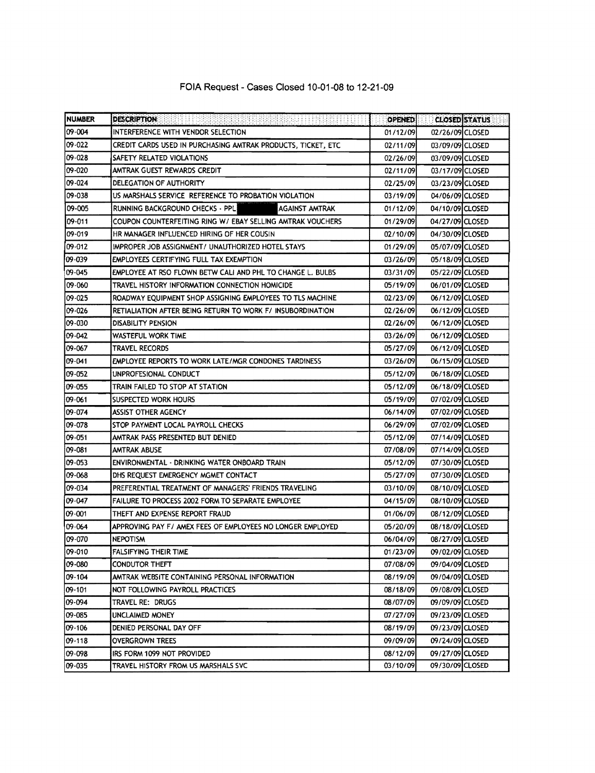| <b>NUMBER</b> | <b>DESCRIPTION</b>                                           | <b>OPENED!</b> |                 | <b>CLOSED STATUS</b> |
|---------------|--------------------------------------------------------------|----------------|-----------------|----------------------|
| 09-004        | INTERFERENCE WITH VENDOR SELECTION                           | 01/12/09       | 02/26/09 CLOSED |                      |
| 09-022        | CREDIT CARDS USED IN PURCHASING AMTRAK PRODUCTS, TICKET, ETC | 02/11/09       | 03/09/09 CLOSED |                      |
| 09-028        | SAFETY RELATED VIOLATIONS                                    | 02/26/09       | 03/09/09 CLOSED |                      |
| 09-020        | AMTRAK GUEST REWARDS CREDIT                                  | 02/11/09       | 03/17/09 CLOSED |                      |
| 09-024        | DELEGATION OF AUTHORITY                                      | 02/25/09       | 03/23/09 CLOSED |                      |
| 09-038        | US MARSHALS SERVICE REFERENCE TO PROBATION VIOLATION         | 03/19/09       | 04/06/09 CLOSED |                      |
| 09-005        | RUNNING BACKGROUND CHECKS - PPL<br><b>AGAINST AMTRAK</b>     | 01/12/09       | 04/10/09 CLOSED |                      |
| 09-011        | COUPON COUNTERFEITING RING W/ EBAY SELLING AMTRAK VOUCHERS   | 01/29/09       | 04/27/09 CLOSED |                      |
| 09-019        | HR MANAGER INFLUENCED HIRING OF HER COUSIN                   | 02/10/09       | 04/30/09 CLOSED |                      |
| 09-012        | IMPROPER JOB ASSIGNMENT / UNAUTHORIZED HOTEL STAYS           | 01/29/09       | 05/07/09 CLOSED |                      |
| 09-039        | EMPLOYEES CERTIFYING FULL TAX EXEMPTION                      | 03/26/09       | 05/18/09 CLOSED |                      |
| 09-045        | EMPLOYEE AT RSO FLOWN BETW CALI AND PHL TO CHANGE L. BULBS   | 03/31/09       | 05/22/09 CLOSED |                      |
| 09-060        | TRAVEL HISTORY INFORMATION CONNECTION HOMICIDE               | 05/19/09       | 06/01/09 CLOSED |                      |
| 09-025        | ROADWAY EQUIPMENT SHOP ASSIGNING EMPLOYEES TO TLS MACHINE    | 02/23/09       | 06/12/09 CLOSED |                      |
| 09-026        | RETIALIATION AFTER BEING RETURN TO WORK F/ INSUBORDINATION   | 02/26/09       | 06/12/09 CLOSED |                      |
| 09-030        | <b>DISABILITY PENSION</b>                                    | 02/26/09       | 06/12/09 CLOSED |                      |
| 09-042        | WASTEFUL WORK TIME                                           | 03/26/09       | 06/12/09 CLOSED |                      |
| 09-067        | TRAVEL RECORDS                                               | 05/27/09       | 06/12/09 CLOSED |                      |
| 09-041        | <b>EMPLOYEE REPORTS TO WORK LATE/MGR CONDONES TARDINESS</b>  | 03/26/09       | 06/15/09 CLOSED |                      |
| 09-052        | UNPROFESIONAL CONDUCT                                        | 05/12/09       | 06/18/09 CLOSED |                      |
| 09-055        | TRAIN FAILED TO STOP AT STATION                              | 05/12/09       | 06/18/09 CLOSED |                      |
| 09-061        | SUSPECTED WORK HOURS                                         | 05/19/09       | 07/02/09 CLOSED |                      |
| 09-074        | <b>ASSIST OTHER AGENCY</b>                                   | 06/14/09       | 07/02/09 CLOSED |                      |
| 09-078        | STOP PAYMENT LOCAL PAYROLL CHECKS                            | 06/29/09       | 07/02/09 CLOSED |                      |
| 09-051        | AMTRAK PASS PRESENTED BUT DENIED                             | 05/12/09       | 07/14/09 CLOSED |                      |
| 09-081        | AMTRAK ABUSE                                                 | 07/08/09       | 07/14/09 CLOSED |                      |
| 09-053        | ENVIRONMENTAL - DRINKING WATER ONBOARD TRAIN                 | 05/12/09       | 07/30/09 CLOSED |                      |
| 09-068        | DHS REQUEST EMERGENCY MGMET CONTACT                          | 05/27/09       | 07/30/09 CLOSED |                      |
| 09-034        | PREFERENTIAL TREATMENT OF MANAGERS' FRIENDS TRAVELING        | 03/10/09       | 08/10/09 CLOSED |                      |
| 09-047        | FAILURE TO PROCESS 2002 FORM TO SEPARATE EMPLOYEE            | 04/15/09       | 08/10/09 CLOSED |                      |
| 09-001        | THEFT AND EXPENSE REPORT FRAUD                               | 01/06/09       | 08/12/09 CLOSED |                      |
| 09-064        | APPROVING PAY F/ AMEX FEES OF EMPLOYEES NO LONGER EMPLOYED   | 05/20/09       | 08/18/09 CLOSED |                      |
| 09-070        | <b>NEPOTISM</b>                                              | 06/04/09       | 08/27/09 CLOSED |                      |
| 09-010        | <b>FALSIFYING THEIR TIME</b>                                 | 01/23/09       | 09/02/09 CLOSED |                      |
| 09-080        | CONDUTOR THEFT                                               | 07/08/09       | 09/04/09 CLOSED |                      |
| 09-104        | AMTRAK WEBSITE CONTAINING PERSONAL INFORMATION               | 08/19/09       | 09/04/09 CLOSED |                      |
| 09-101        | NOT FOLLOWING PAYROLL PRACTICES                              | 08/18/09       | 09/08/09 CLOSED |                      |
| 09-094        | TRAVEL RE: DRUGS                                             | 08/07/09       | 09/09/09 CLOSED |                      |
| 09-085        | UNCLAIMED MONEY                                              | 07/27/09       | 09/23/09 CLOSED |                      |
| 09-106        | DENIED PERSONAL DAY OFF                                      | 08/19/09       | 09/23/09 CLOSED |                      |
| 09-118        | <b>OVERGROWN TREES</b>                                       | 09/09/09       | 09/24/09 CLOSED |                      |
| 09-098        | IRS FORM 1099 NOT PROVIDED                                   | 08/12/09       | 09/27/09 CLOSED |                      |
| 09-035        | TRAVEL HISTORY FROM US MARSHALS SVC                          | 03/10/09       | 09/30/09 CLOSED |                      |

## **FOIA** Request - Cases Closed 10-01-08 to 12-21-09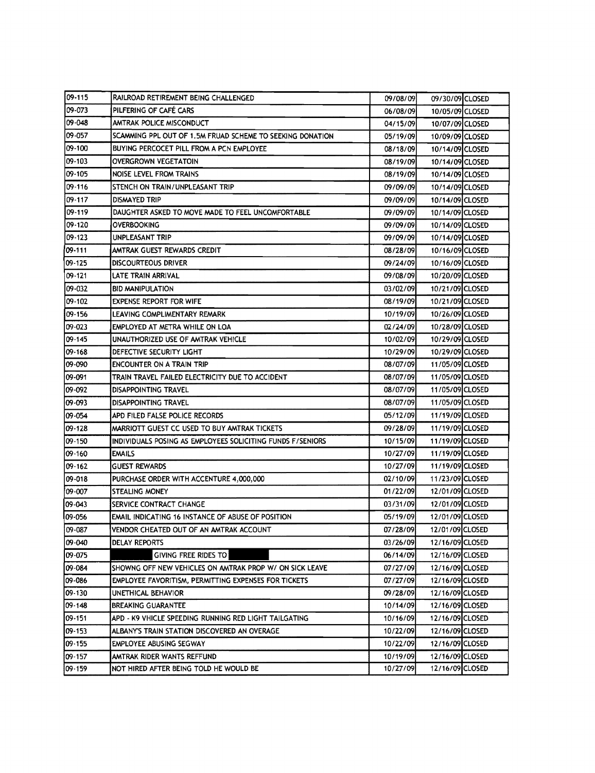| 09-115     | RAILROAD RETIREMENT BEING CHALLENGED                       | 09/08/09 | 09/30/09 CLOSED |  |
|------------|------------------------------------------------------------|----------|-----------------|--|
| 09-073     | PILFERING OF CAFÉ CARS                                     | 06/08/09 | 10/05/09 CLOSED |  |
| 09-048     | AMTRAK POLICE MISCONDUCT                                   | 04/15/09 | 10/07/09 CLOSED |  |
| 09-057     | SCAMMING PPL OUT OF 1.5M FRUAD SCHEME TO SEEKING DONATION  | 05/19/09 | 10/09/09 CLOSED |  |
| 09-100     | BUYING PERCOCET PILL FROM A PCN EMPLOYEE                   | 08/18/09 | 10/14/09 CLOSED |  |
| 09-103     | <b>OVERGROWN VEGETATOIN</b>                                | 08/19/09 | 10/14/09 CLOSED |  |
| 09-105     | NOISE LEVEL FROM TRAINS                                    | 08/19/09 | 10/14/09 CLOSED |  |
| 09-116     | STENCH ON TRAIN/UNPLEASANT TRIP                            | 09/09/09 | 10/14/09 CLOSED |  |
| 09-117     | DISMAYED TRIP                                              | 09/09/09 | 10/14/09 CLOSED |  |
| 09-119     | DAUGHTER ASKED TO MOVE MADE TO FEEL UNCOMFORTABLE          | 09/09/09 | 10/14/09 CLOSED |  |
| 09-120     | <b>OVERBOOKING</b>                                         | 09/09/09 | 10/14/09 CLOSED |  |
| 09-123     | UNPLEASANT TRIP                                            | 09/09/09 | 10/14/09 CLOSED |  |
| 09-111     | AMTRAK GUEST REWARDS CREDIT                                | 08/28/09 | 10/16/09 CLOSED |  |
| 09 125     | <b>DISCOURTEOUS DRIVER</b>                                 | 09/24/09 | 10/16/09 CLOSED |  |
| 09-121     | LATE TRAIN ARRIVAL                                         | 09/08/09 | 10/20/09 CLOSED |  |
| 109-032    | <b>BID MANIPULATION</b>                                    | 03/02/09 | 10/21/09 CLOSED |  |
| 09-102     | <b>EXPENSE REPORT FOR WIFE</b>                             | 08/19/09 | 10/21/09 CLOSED |  |
| 09-156     | LEAVING COMPLIMENTARY REMARK                               | 10/19/09 | 10/26/09 CLOSED |  |
| 09-023     | EMPLOYED AT METRA WHILE ON LOA                             | 02/24/09 | 10/28/09 CLOSED |  |
| 09-145     | UNAUTHORIZED USE OF AMTRAK VEHICLE                         | 10/02/09 | 10/29/09 CLOSED |  |
| 09-168     | DEFECTIVE SECURITY LIGHT                                   | 10/29/09 | 10/29/09 CLOSED |  |
| 09-090     | ENCOUNTER ON A TRAIN TRIP                                  | 08/07/09 | 11/05/09 CLOSED |  |
| 09-091     | TRAIN TRAVEL FAILED ELECTRICITY DUE TO ACCIDENT            | 08/07/09 | 11/05/09 CLOSED |  |
| 09-092     | DISAPPOINTING TRAVEL                                       | 08/07/09 | 11/05/09 CLOSED |  |
| 09-093     | DISAPPOINTING TRAVEL                                       | 08/07/09 | 11/05/09 CLOSED |  |
| 09-054     | APD FILED FALSE POLICE RECORDS                             | 05/12/09 | 11/19/09 CLOSED |  |
| 09-128     | MARRIOTT GUEST CC USED TO BUY AMTRAK TICKETS               | 09/28/09 | 11/19/09 CLOSED |  |
| 09-150     | INDIVIDUALS POSING AS EMPLOYEES SOLICITING FUNDS F/SENIORS | 10/15/09 | 11/19/09 CLOSED |  |
| 09-160     | <b>EMAILS</b>                                              | 10/27/09 | 11/19/09 CLOSED |  |
| 09-162     | <b>GUEST REWARDS</b>                                       | 10/27/09 | 11/19/09 CLOSED |  |
| 09-018     | PURCHASE ORDER WITH ACCENTURE 4.000.000                    | 02/10/09 | 11/23/09 CLOSED |  |
| 09-007     | STEALING MONEY                                             | 01/22/09 | 12/01/09 CLOSED |  |
| 09-043     | SERVICE CONTRACT CHANGE                                    | 03/31/09 | 12/01/09 CLOSED |  |
| 09-056     | EMAIL INDICATING 16 INSTANCE OF ABUSE OF POSITION          | 05/19/09 | 12/01/09 CLOSED |  |
| $09 - 087$ | VENDOR CHEATED OUT OF AN AMTRAK ACCOUNT                    | 07/28/09 | 12/01/09 CLOSED |  |
| 09-040     | DELAY REPORTS                                              | 03/26/09 | 12/16/09 CLOSED |  |
| 09-075     | <b>GIVING FREE RIDES TO</b>                                | 06/14/09 | 12/16/09 CLOSED |  |
| 09-084     | SHOWNG OFF NEW VEHICLES ON AMTRAK PROP W/ ON SICK LEAVE    | 07/27/09 | 12/16/09 CLOSED |  |
| 09-086     | EMPLOYEE FAVORITISM, PERMITTING EXPENSES FOR TICKETS       | 07/27/09 | 12/16/09 CLOSED |  |
| 09-130     | UNETHICAL BEHAVIOR                                         | 09/28/09 | 12/16/09 CLOSED |  |
| 09-148     | <b>BREAKING GUARANTEE</b>                                  | 10/14/09 | 12/16/09 CLOSED |  |
| 09-151     | APD - K9 VHICLE SPEEDING RUNNING RED LIGHT TAILGATING      | 10/16/09 | 12/16/09 CLOSED |  |
| 09-153     | ALBANY'S TRAIN STATION DISCOVERED AN OVERAGE               | 10/22/09 | 12/16/09 CLOSED |  |
| 09-155     | EMPLOYEE ABUSING SEGWAY                                    | 10/22/09 | 12/16/09 CLOSED |  |
| 09-157     | AMTRAK RIDER WANTS REFFUND                                 | 10/19/09 | 12/16/09 CLOSED |  |
| 09-159     | NOT HIRED AFTER BEING TOLD HE WOULD BE                     | 10/27/09 | 12/16/09 CLOSED |  |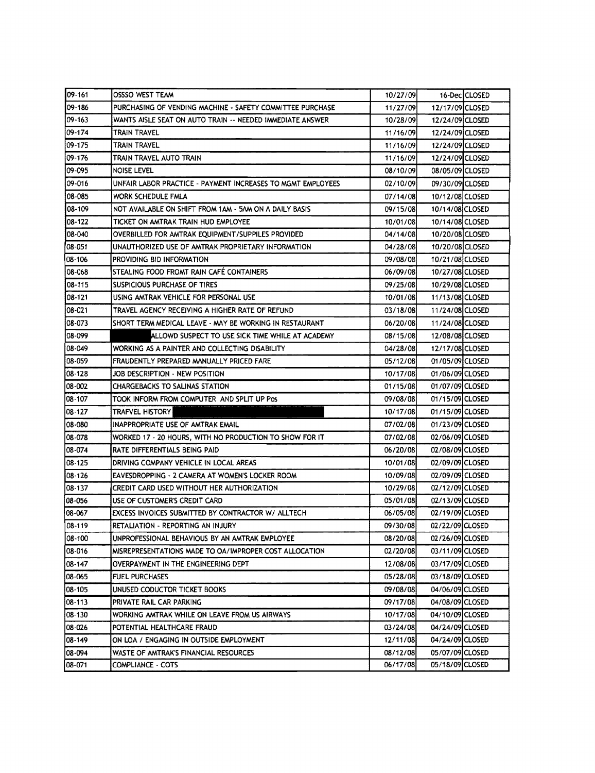| 09-161  | OSSSO WEST TEAM                                             | 10/27/09 |                 | 16-DeclCLOSED |
|---------|-------------------------------------------------------------|----------|-----------------|---------------|
| 09-186  | PURCHASING OF VENDING MACHINE - SAFETY COMMITTEE PURCHASE   | 11/27/09 | 12/17/09 CLOSED |               |
| 09-163  | WANTS AISLE SEAT ON AUTO TRAIN -- NEEDED IMMEDIATE ANSWER   | 10/28/09 | 12/24/09 CLOSED |               |
| 09-174  | TRAIN TRAVEL                                                | 11/16/09 | 12/24/09 CLOSED |               |
| 09-175  | TRAIN TRAVEL                                                | 11/16/09 | 12/24/09 CLOSED |               |
| 09-176  | TRAIN TRAVEL AUTO TRAIN                                     | 11/16/09 | 12/24/09 CLOSED |               |
| 09-095  | NOISE LEVEL                                                 | 08/10/09 | 08/05/09 CLOSED |               |
| 09-016  | UNFAIR LABOR PRACTICE - PAYMENT INCREASES TO MGMT EMPLOYEES | 02/10/09 | 09/30/09 CLOSED |               |
| 08-085  | <b>WORK SCHEDULE FMLA</b>                                   | 07/14/08 | 10/12/08 CLOSED |               |
| 08-109  | NOT AVAILABLE ON SHIFT FROM 1AM - 5AM ON A DAILY BASIS      | 09/15/08 | 10/14/08 CLOSED |               |
| 08-122  | TICKET ON AMTRAK TRAIN HUD EMPLOYEE                         | 10/01/08 | 10/14/08 CLOSED |               |
| 108-040 | OVERBILLED FOR AMTRAK EQUIPMENT/SUPPILES PROVIDED           | 04/14/08 | 10/20/08 CLOSED |               |
| 08-051  | UNAUTHORIZED USE OF AMTRAK PROPRIETARY INFORMATION          | 04/28/08 | 10/20/08 CLOSED |               |
| 08-106  | PROVIDING BID INFORMATION                                   | 09/08/08 | 10/21/08 CLOSED |               |
| 08-068  | STEALING FOOD FROMT RAIN CAFÉ CONTAINERS                    | 06/09/08 | 10/27/08 CLOSED |               |
| 08-115  | <b>SUSPICIOUS PURCHASE OF TIRES</b>                         | 09/25/08 | 10/29/08 CLOSED |               |
| 08-121  | USING AMTRAK VEHICLE FOR PERSONAL USE                       | 10/01/08 | 11/13/08 CLOSED |               |
| 08-021  | TRAVEL AGENCY RECEIVING A HIGHER RATE OF REFUND             | 03/18/08 | 11/24/08 CLOSED |               |
| 08-073  | SHORT TERM MEDICAL LEAVE - MAY BE WORKING IN RESTAURANT     | 06/20/08 | 11/24/08 CLOSED |               |
| 08-099  | ALLOWD SUSPECT TO USE SICK TIME WHILE AT ACADEMY            | 08/15/08 | 12/08/08 CLOSED |               |
| 08-049  | WORKING AS A PAINTER AND COLLECTING DISABILITY              | 04/28/08 | 12/17/08 CLOSED |               |
| 08-059  | FRAUDENTLY PREPARED MANUALLY PRICED FARE                    | 05/12/08 | 01/05/09 CLOSED |               |
| 08-128  | JOB DESCRIPTION - NEW POSITION                              | 10/17/08 | 01/06/09 CLOSED |               |
| 08-002  | CHARGEBACKS TO SALINAS STATION                              | 01/15/08 | 01/07/09 CLOSED |               |
| 08-107  | TOOK INFORM FROM COMPUTER AND SPLIT UP Pos                  | 09/08/08 | 01/15/09 CLOSED |               |
| 08-127  | TRAFVEL HISTORY                                             | 10/17/08 | 01/15/09 CLOSED |               |
| 08-080  | INAPPROPRIATE USE OF AMTRAK EMAIL                           | 07/02/08 | 01/23/09 CLOSED |               |
| 08-078  | WORKED 17 - 20 HOURS, WITH NO PRODUCTION TO SHOW FOR IT     | 07/02/08 | 02/06/09 CLOSED |               |
| 08-074  | RATE DIFFERENTIALS BEING PAID                               | 06/20/08 | 02/08/09 CLOSED |               |
| 08-125  | DRIVING COMPANY VEHICLE IN LOCAL AREAS                      | 10/01/08 | 02/09/09 CLOSED |               |
| 08-126  | EAVESDROPPING - 2 CAMERA AT WOMEN'S LOCKER ROOM             | 10/09/08 | 02/09/09 CLOSED |               |
| 08-137  | CREDIT CARD USED WITHOUT HER AUTHORIZATION                  | 10/29/08 | 02/12/09 CLOSED |               |
| 08-056  | USE OF CUSTOMER'S CREDIT CARD                               | 05/01/08 | 02/13/09 CLOSED |               |
| 08-067  | EXCESS INVOICES SUBMITTED BY CONTRACTOR W/ ALLTECH          | 06/05/08 | 02/19/09 CLOSED |               |
| 08-119  | RETALIATION - REPORTING AN INJURY                           | 09/30/08 | 02/22/09 CLOSED |               |
| 08-100  | UNPROFESSIONAL BEHAVIOUS BY AN AMTRAK EMPLOYEE              | 08/20/08 | 02/26/09 CLOSED |               |
| 08-016  | MISREPRESENTATIONS MADE TO OA/IMPROPER COST ALLOCATION      | 02/20/08 | 03/11/09 CLOSED |               |
| 08-147  | OVERPAYMENT IN THE ENGINEERING DEPT                         | 12/08/08 | 03/17/09 CLOSED |               |
| 08-065  | FUEL PURCHASES                                              | 05/28/08 | 03/18/09 CLOSED |               |
| 08-105  | UNUSED CODUCTOR TICKET BOOKS                                | 09/08/08 | 04/06/09 CLOSED |               |
| 08-113  | PRIVATE RAIL CAR PARKING                                    | 09/17/08 | 04/08/09 CLOSED |               |
| 08-130  | WORKING AMTRAK WHILE ON LEAVE FROM US AIRWAYS               | 10/17/08 | 04/10/09 CLOSED |               |
| 08-026  | POTENTIAL HEALTHCARE FRAUD                                  | 03/24/08 | 04/24/09 CLOSED |               |
| 08-149  | ON LOA / ENGAGING IN OUTSIDE EMPLOYMENT                     | 12/11/08 | 04/24/09 CLOSED |               |
| 08-094  | WASTE OF AMTRAK'S FINANCIAL RESOURCES                       | 08/12/08 | 05/07/09 CLOSED |               |
| 08-071  | COMPLIANCE - COTS                                           | 06/17/08 | 05/18/09 CLOSED |               |
|         |                                                             |          |                 |               |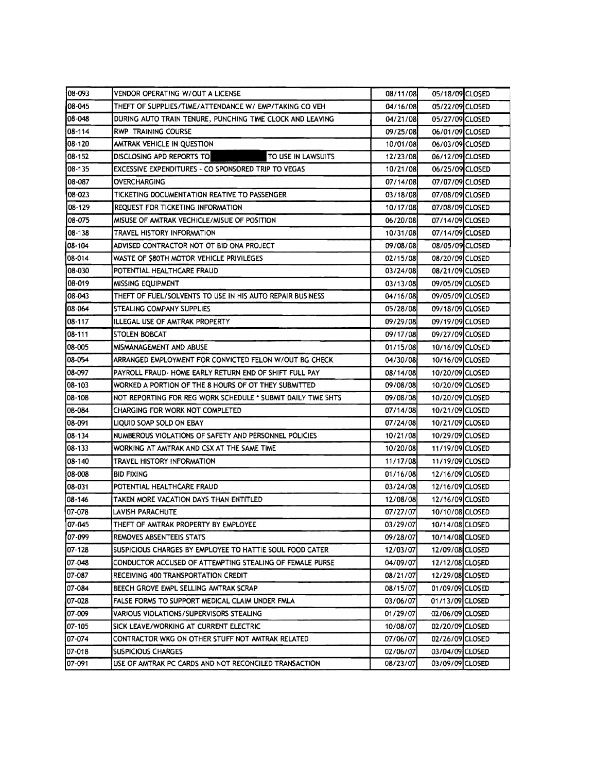| 108-093    | VENDOR OPERATING W/OUT A LICENSE                             | 08/11/08 | 05/18/09 CLOSED |
|------------|--------------------------------------------------------------|----------|-----------------|
| 08-045     | THEFT OF SUPPLIES/TIME/ATTENDANCE W/ EMP/TAKING CO VEH       | 04/16/08 | 05/22/09 CLOSED |
| 08-048     | DURING AUTO TRAIN TENURE, PUNCHING TIME CLOCK AND LEAVING    | 04/21/08 | 05/27/09 CLOSED |
| 08-114     | <b>RWP TRAINING COURSE</b>                                   | 09/25/08 | 06/01/09 CLOSED |
| 08-120     | AMTRAK VEHICLE IN QUESTION                                   | 10/01/08 | 06/03/09 CLOSED |
| $08 - 152$ | DISCLOSING APD REPORTS TO<br>TO USE IN LAWSUITS              | 12/23/08 | 06/12/09 CLOSED |
| 08-135     | EXCESSIVE EXPENDITURES - CO SPONSORED TRIP TO VEGAS          | 10/21/08 | 06/25/09 CLOSED |
| 08-087     | OVERCHARGING                                                 | 07/14/08 | 07/07/09 CLOSED |
| 08-023     | TICKETING DOCUMENTATION REATIVE TO PASSENGER                 | 03/18/08 | 07/08/09 CLOSED |
| 08-129     | REQUEST FOR TICKETING INFORMATION                            | 10/17/08 | 07/08/09 CLOSED |
| 08-075     | MISUSE OF AMTRAK VECHICLE/MISUE OF POSITION                  | 06/20/08 | 07/14/09 CLOSED |
| 08-138     | TRAVEL HISTORY INFORMATION                                   | 10/31/08 | 07/14/09 CLOSED |
| 08-104     | ADVISED CONTRACTOR NOT OT BID ONA PROJECT                    | 09/08/08 | 08/05/09 CLOSED |
| 08-014     | WASTE OF \$80TH MOTOR VEHICLE PRIVILEGES                     | 02/15/08 | 08/20/09 CLOSED |
| 08-030     | POTENTIAL HEALTHCARE FRAUD                                   | 03/24/08 | 08/21/09 CLOSED |
| 08-019     | MISSING EQUIPMENT                                            | 03/13/08 | 09/05/09 CLOSED |
| 08-043     | THEFT OF FUEL/SOLVENTS TO USE IN HIS AUTO REPAIR BUSINESS    | 04/16/08 | 09/05/09 CLOSED |
| 08-064     | STEALING COMPANY SUPPLIES                                    | 05/28/08 | 09/18/09 CLOSED |
| 08-117     | ILLEGAL USE OF AMTRAK PROPERTY                               | 09/29/08 | 09/19/09 CLOSED |
| 08-111     | <b>STOLEN BOBCAT</b>                                         | 09/17/08 | 09/27/09 CLOSED |
| 08-005     | MISMANAGEMENT AND ABUSE                                      | 01/15/08 | 10/16/09 CLOSED |
| 08-054     | ARRANGED EMPLOYMENT FOR CONVICTED FELON W/OUT BG CHECK       | 04/30/08 | 10/16/09 CLOSED |
| 08-097     | PAYROLL FRAUD- HOME EARLY RETURN END OF SHIFT FULL PAY       | 08/14/08 | 10/20/09 CLOSED |
| 08-103     | WORKED A PORTION OF THE 8 HOURS OF OT THEY SUBMITTED         | 09/08/08 | 10/20/09 CLOSED |
| 08-108     | NOT REPORTING FOR REG WORK SCHEDULE * SUBMIT DAILY TIME SHTS | 09/08/08 | 10/20/09 CLOSED |
| 08-084     | CHARGING FOR WORK NOT COMPLETED                              | 07/14/08 | 10/21/09 CLOSED |
| 08-091     | LIQUID SOAP SOLD ON EBAY                                     | 07/24/08 | 10/21/09 CLOSED |
| 08-134     | NUMBEROUS VIOLATIONS OF SAFETY AND PERSONNEL POLICIES        | 10/21/08 | 10/29/09 CLOSED |
| 08-133     | WORKING AT AMTRAK AND CSX AT THE SAME TIME                   | 10/20/08 | 11/19/09 CLOSED |
| 08-140     | TRAVEL HISTORY INFORMATION                                   | 11/17/08 | 11/19/09 CLOSED |
| 08-008     | <b>BID FIXING</b>                                            | 01/16/08 | 12/16/09 CLOSED |
| 08-031     | POTENTIAL HEALTHCARE FRAUD                                   | 03/24/08 | 12/16/09 CLOSED |
| 08-146     | TAKEN MORE VACATION DAYS THAN ENTITLED                       | 12/08/08 | 12/16/09 CLOSED |
| 07-078     | <b>LAVISH PARACHUTE</b>                                      | 07/27/07 | 10/10/08 CLOSED |
| 07-045     | THEFT OF AMTRAK PROPERTY BY EMPLOYEE                         | 03/29/07 | 10/14/08 CLOSED |
| 107-099    | REMOVES ABSENTEEIS STATS                                     | 09/28/07 | 10/14/08 CLOSED |
| 07-128     | SUSPICIOUS CHARGES BY EMPLOYEE TO HATTIE SOUL FOOD CATER     | 12/03/07 | 12/09/08 CLOSED |
| 07-048     | CONDUCTOR ACCUSED OF ATTEMPTING STEALING OF FEMALE PURSE     | 04/09/07 | 12/12/08 CLOSED |
| 07-087     | RECEIVING 400 TRANSPORTATION CREDIT                          | 08/21/07 | 12/29/08 CLOSED |
| 07-084     | BEECH GROVE EMPL SELLING AMTRAK SCRAP                        | 08/15/07 | 01/09/09 CLOSED |
| 07-028     | FALSE FORMS TO SUPPORT MEDICAL CLAIM UNDER FMLA              | 03/06/07 | 01/13/09 CLOSED |
| 07-009     | VARIOUS VIOLATIONS/SUPERVISORS STEALING                      | 01/29/07 | 02/06/09 CLOSED |
| 07-105     | SICK LEAVE/WORKING AT CURRENT ELECTRIC                       | 10/08/07 | 02/20/09 CLOSED |
| 07-074     | CONTRACTOR WKG ON OTHER STUFF NOT AMTRAK RELATED             | 07/06/07 | 02/26/09 CLOSED |
| 07-018     | <b>SUSPICIOUS CHARGES</b>                                    | 02/06/07 | 03/04/09 CLOSED |
| 07-091     | USE OF AMTRAK PC CARDS AND NOT RECONCILED TRANSACTION        | 08/23/07 | 03/09/09 CLOSED |